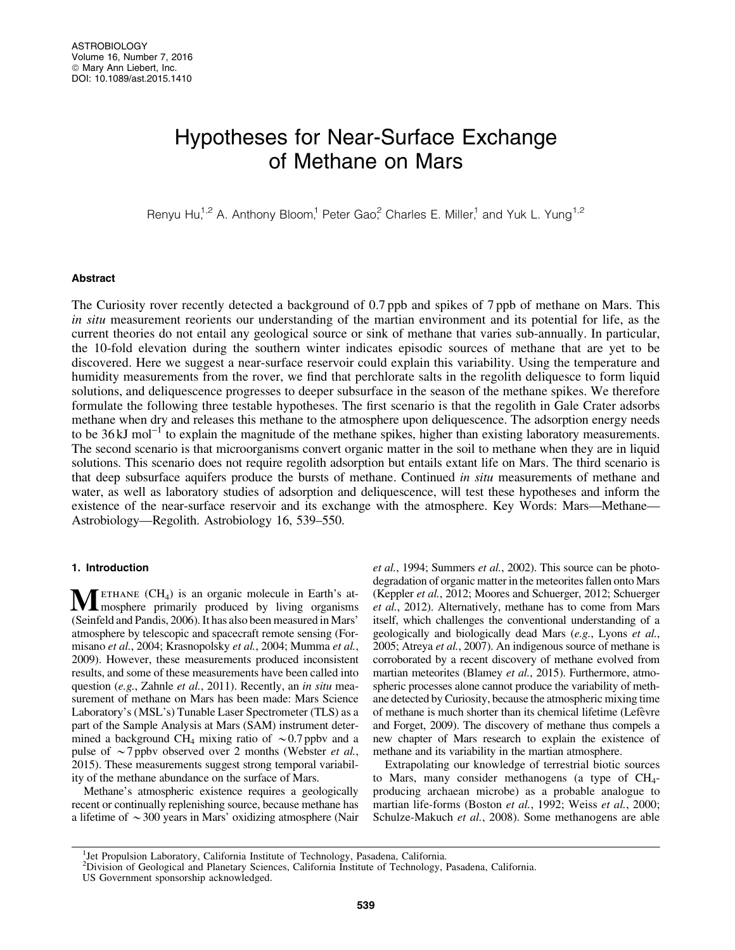# Hypotheses for Near-Surface Exchange of Methane on Mars

Renyu Hu,<sup>1,2</sup> A. Anthony Bloom,<sup>1</sup> Peter Gao,<sup>2</sup> Charles E. Miller,<sup>1</sup> and Yuk L. Yung<sup>1,2</sup>

### Abstract

The Curiosity rover recently detected a background of 0.7 ppb and spikes of 7 ppb of methane on Mars. This *in situ* measurement reorients our understanding of the martian environment and its potential for life, as the current theories do not entail any geological source or sink of methane that varies sub-annually. In particular, the 10-fold elevation during the southern winter indicates episodic sources of methane that are yet to be discovered. Here we suggest a near-surface reservoir could explain this variability. Using the temperature and humidity measurements from the rover, we find that perchlorate salts in the regolith deliquesce to form liquid solutions, and deliquescence progresses to deeper subsurface in the season of the methane spikes. We therefore formulate the following three testable hypotheses. The first scenario is that the regolith in Gale Crater adsorbs methane when dry and releases this methane to the atmosphere upon deliquescence. The adsorption energy needs to be  $36 \text{ kJ}$  mol<sup>-1</sup> to explain the magnitude of the methane spikes, higher than existing laboratory measurements. The second scenario is that microorganisms convert organic matter in the soil to methane when they are in liquid solutions. This scenario does not require regolith adsorption but entails extant life on Mars. The third scenario is that deep subsurface aquifers produce the bursts of methane. Continued *in situ* measurements of methane and water, as well as laboratory studies of adsorption and deliquescence, will test these hypotheses and inform the existence of the near-surface reservoir and its exchange with the atmosphere. Key Words: Mars—Methane— Astrobiology—Regolith. Astrobiology 16, 539–550.

## 1. Introduction

**METHANE** (CH<sub>4</sub>) is an organic molecule in Earth's at-<br>mosphere primarily produced by living organisms (Seinfeld and Pandis, 2006). It has also been measured in Mars' atmosphere by telescopic and spacecraft remote sensing (Formisano *et al.*, 2004; Krasnopolsky *et al.*, 2004; Mumma *et al.*, 2009). However, these measurements produced inconsistent results, and some of these measurements have been called into question (*e.g.*, Zahnle *et al.*, 2011). Recently, an *in situ* measurement of methane on Mars has been made: Mars Science Laboratory's (MSL's) Tunable Laser Spectrometer (TLS) as a part of the Sample Analysis at Mars (SAM) instrument determined a background CH<sub>4</sub> mixing ratio of  $\sim$  0.7 ppbv and a pulse of  $\sim$ 7 ppbv observed over 2 months (Webster *et al.*, 2015). These measurements suggest strong temporal variability of the methane abundance on the surface of Mars.

Methane's atmospheric existence requires a geologically recent or continually replenishing source, because methane has a lifetime of  $\sim$  300 years in Mars' oxidizing atmosphere (Nair *et al.*, 1994; Summers *et al.*, 2002). This source can be photodegradation of organic matter in the meteorites fallen onto Mars (Keppler *et al.*, 2012; Moores and Schuerger, 2012; Schuerger *et al.*, 2012). Alternatively, methane has to come from Mars itself, which challenges the conventional understanding of a geologically and biologically dead Mars (*e.g.*, Lyons *et al.*, 2005; Atreya *et al.*, 2007). An indigenous source of methane is corroborated by a recent discovery of methane evolved from martian meteorites (Blamey *et al.*, 2015). Furthermore, atmospheric processes alone cannot produce the variability of methane detected by Curiosity, because the atmospheric mixing time of methane is much shorter than its chemical lifetime (Lefèvre and Forget, 2009). The discovery of methane thus compels a new chapter of Mars research to explain the existence of methane and its variability in the martian atmosphere.

Extrapolating our knowledge of terrestrial biotic sources to Mars, many consider methanogens (a type of  $CH<sub>4</sub>$ producing archaean microbe) as a probable analogue to martian life-forms (Boston *et al.*, 1992; Weiss *et al.*, 2000; Schulze-Makuch *et al.*, 2008). Some methanogens are able

<sup>&</sup>lt;sup>1</sup>Jet Propulsion Laboratory, California Institute of Technology, Pasadena, California.<br><sup>2</sup>Division of Geological and Planetary Sciences, California Institute of Technology, Pasadena, California.

US Government sponsorship acknowledged.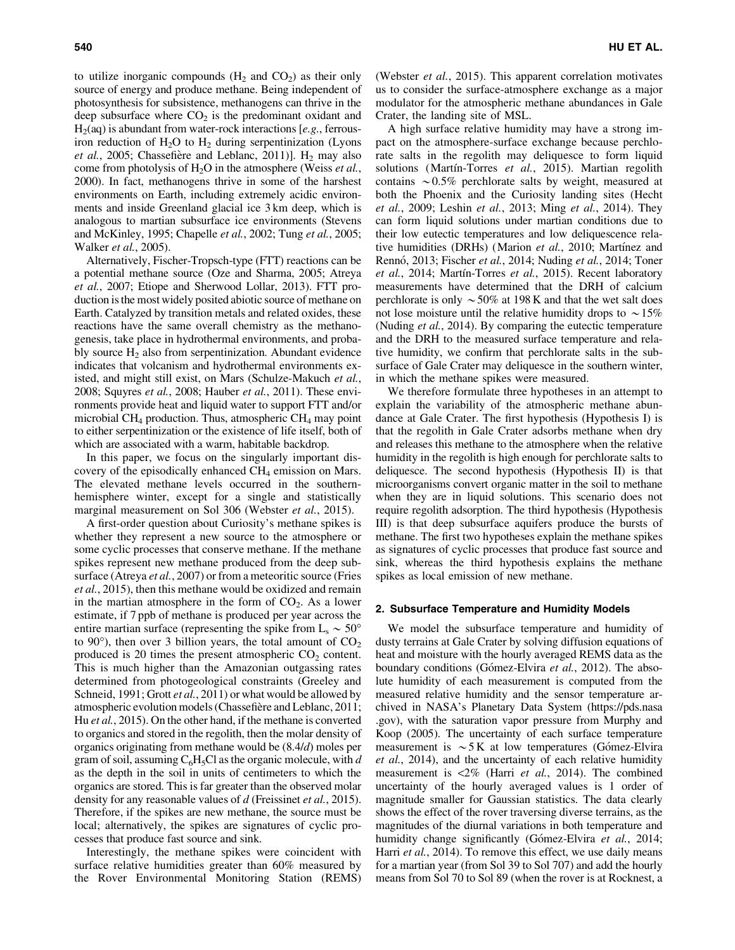to utilize inorganic compounds  $(H_2 \text{ and } CO_2)$  as their only source of energy and produce methane. Being independent of photosynthesis for subsistence, methanogens can thrive in the deep subsurface where  $CO<sub>2</sub>$  is the predominant oxidant and H2(aq) is abundant from water-rock interactions [*e.g.*, ferrousiron reduction of  $H_2O$  to  $H_2$  during serpentinization (Lyons *et al.*, 2005; Chassefiere and Leblanc, 2011)].  $H_2$  may also come from photolysis of H2O in the atmosphere (Weiss *et al.*, 2000). In fact, methanogens thrive in some of the harshest environments on Earth, including extremely acidic environments and inside Greenland glacial ice 3 km deep, which is analogous to martian subsurface ice environments (Stevens and McKinley, 1995; Chapelle *et al.*, 2002; Tung *et al.*, 2005; Walker *et al.*, 2005).

Alternatively, Fischer-Tropsch-type (FTT) reactions can be a potential methane source (Oze and Sharma, 2005; Atreya *et al.*, 2007; Etiope and Sherwood Lollar, 2013). FTT production is the most widely posited abiotic source of methane on Earth. Catalyzed by transition metals and related oxides, these reactions have the same overall chemistry as the methanogenesis, take place in hydrothermal environments, and probably source  $H_2$  also from serpentinization. Abundant evidence indicates that volcanism and hydrothermal environments existed, and might still exist, on Mars (Schulze-Makuch *et al.*, 2008; Squyres *et al.*, 2008; Hauber *et al.*, 2011). These environments provide heat and liquid water to support FTT and/or microbial  $CH_4$  production. Thus, atmospheric  $CH_4$  may point to either serpentinization or the existence of life itself, both of which are associated with a warm, habitable backdrop.

In this paper, we focus on the singularly important discovery of the episodically enhanced  $CH<sub>4</sub>$  emission on Mars. The elevated methane levels occurred in the southernhemisphere winter, except for a single and statistically marginal measurement on Sol 306 (Webster *et al.*, 2015).

A first-order question about Curiosity's methane spikes is whether they represent a new source to the atmosphere or some cyclic processes that conserve methane. If the methane spikes represent new methane produced from the deep subsurface (Atreya *et al.*, 2007) or from a meteoritic source (Fries *et al.*, 2015), then this methane would be oxidized and remain in the martian atmosphere in the form of  $CO<sub>2</sub>$ . As a lower estimate, if 7 ppb of methane is produced per year across the entire martian surface (representing the spike from  $L_s \sim 50^\circ$ to  $90^{\circ}$ ), then over 3 billion years, the total amount of  $CO<sub>2</sub>$ produced is 20 times the present atmospheric  $CO<sub>2</sub>$  content. This is much higher than the Amazonian outgassing rates determined from photogeological constraints (Greeley and Schneid, 1991; Grott *et al.*, 2011) or what would be allowed by atmospheric evolution models (Chassefiere and Leblanc, 2011; Hu *et al.*, 2015). On the other hand, if the methane is converted to organics and stored in the regolith, then the molar density of organics originating from methane would be (8.4/*d*) moles per gram of soil, assuming  $C_6H_5Cl$  as the organic molecule, with  $d$ as the depth in the soil in units of centimeters to which the organics are stored. This is far greater than the observed molar density for any reasonable values of *d* (Freissinet *et al.*, 2015). Therefore, if the spikes are new methane, the source must be local; alternatively, the spikes are signatures of cyclic processes that produce fast source and sink.

Interestingly, the methane spikes were coincident with surface relative humidities greater than 60% measured by the Rover Environmental Monitoring Station (REMS) (Webster *et al.*, 2015). This apparent correlation motivates us to consider the surface-atmosphere exchange as a major modulator for the atmospheric methane abundances in Gale Crater, the landing site of MSL.

A high surface relative humidity may have a strong impact on the atmosphere-surface exchange because perchlorate salts in the regolith may deliquesce to form liquid solutions (Martín-Torres et al., 2015). Martian regolith contains  $\sim 0.5\%$  perchlorate salts by weight, measured at both the Phoenix and the Curiosity landing sites (Hecht *et al.*, 2009; Leshin *et al.*, 2013; Ming *et al.*, 2014). They can form liquid solutions under martian conditions due to their low eutectic temperatures and low deliquescence relative humidities (DRHs) (Marion *et al.*, 2010; Martínez and Renno´, 2013; Fischer *et al.*, 2014; Nuding *et al.*, 2014; Toner et al., 2014; Martín-Torres et al., 2015). Recent laboratory measurements have determined that the DRH of calcium perchlorate is only  $\sim$  50% at 198 K and that the wet salt does not lose moisture until the relative humidity drops to  $\sim$  15% (Nuding *et al.*, 2014). By comparing the eutectic temperature and the DRH to the measured surface temperature and relative humidity, we confirm that perchlorate salts in the subsurface of Gale Crater may deliquesce in the southern winter, in which the methane spikes were measured.

We therefore formulate three hypotheses in an attempt to explain the variability of the atmospheric methane abundance at Gale Crater. The first hypothesis (Hypothesis I) is that the regolith in Gale Crater adsorbs methane when dry and releases this methane to the atmosphere when the relative humidity in the regolith is high enough for perchlorate salts to deliquesce. The second hypothesis (Hypothesis II) is that microorganisms convert organic matter in the soil to methane when they are in liquid solutions. This scenario does not require regolith adsorption. The third hypothesis (Hypothesis III) is that deep subsurface aquifers produce the bursts of methane. The first two hypotheses explain the methane spikes as signatures of cyclic processes that produce fast source and sink, whereas the third hypothesis explains the methane spikes as local emission of new methane.

#### 2. Subsurface Temperature and Humidity Models

We model the subsurface temperature and humidity of dusty terrains at Gale Crater by solving diffusion equations of heat and moisture with the hourly averaged REMS data as the boundary conditions (Gómez-Elvira *et al.*, 2012). The absolute humidity of each measurement is computed from the measured relative humidity and the sensor temperature archived in NASA's Planetary Data System (https://pds.nasa .gov), with the saturation vapor pressure from Murphy and Koop (2005). The uncertainty of each surface temperature measurement is  $\sim$  5 K at low temperatures (Gómez-Elvira *et al.*, 2014), and the uncertainty of each relative humidity measurement is <2% (Harri *et al.*, 2014). The combined uncertainty of the hourly averaged values is 1 order of magnitude smaller for Gaussian statistics. The data clearly shows the effect of the rover traversing diverse terrains, as the magnitudes of the diurnal variations in both temperature and humidity change significantly (Gómez-Elvira et al., 2014; Harri *et al.*, 2014). To remove this effect, we use daily means for a martian year (from Sol 39 to Sol 707) and add the hourly means from Sol 70 to Sol 89 (when the rover is at Rocknest, a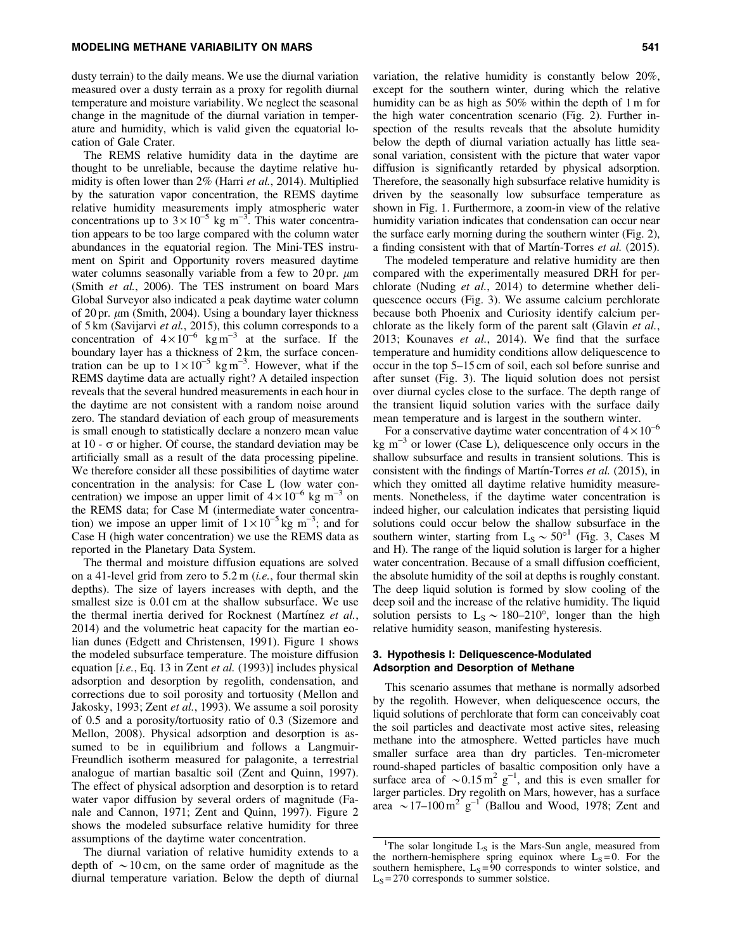dusty terrain) to the daily means. We use the diurnal variation measured over a dusty terrain as a proxy for regolith diurnal temperature and moisture variability. We neglect the seasonal change in the magnitude of the diurnal variation in temperature and humidity, which is valid given the equatorial location of Gale Crater.

The REMS relative humidity data in the daytime are thought to be unreliable, because the daytime relative humidity is often lower than 2% (Harri *et al.*, 2014). Multiplied by the saturation vapor concentration, the REMS daytime relative humidity measurements imply atmospheric water concentrations up to  $3 \times 10^{-5}$  kg m<sup>-3</sup>. This water concentration appears to be too large compared with the column water abundances in the equatorial region. The Mini-TES instrument on Spirit and Opportunity rovers measured daytime water columns seasonally variable from a few to  $20 \text{ pr. } \mu \text{m}$ (Smith *et al.*, 2006). The TES instrument on board Mars Global Surveyor also indicated a peak daytime water column of 20 pr.  $\mu$ m (Smith, 2004). Using a boundary layer thickness of 5 km (Savijarvi *et al.*, 2015), this column corresponds to a concentration of  $4 \times 10^{-6}$  kg m<sup>-3</sup> at the surface. If the boundary layer has a thickness of 2 km, the surface concentration can be up to  $1 \times 10^{-5}$  kg m<sup>-3</sup>. However, what if the REMS daytime data are actually right? A detailed inspection reveals that the several hundred measurements in each hour in the daytime are not consistent with a random noise around zero. The standard deviation of each group of measurements is small enough to statistically declare a nonzero mean value at 10 -  $\sigma$  or higher. Of course, the standard deviation may be artificially small as a result of the data processing pipeline. We therefore consider all these possibilities of daytime water concentration in the analysis: for Case L (low water concentration) we impose an upper limit of  $4 \times 10^{-6}$  kg m<sup>-3</sup> on the REMS data; for Case M (intermediate water concentration) we impose an upper limit of  $1 \times 10^{-5}$  kg m<sup>-3</sup>; and for Case H (high water concentration) we use the REMS data as reported in the Planetary Data System.

The thermal and moisture diffusion equations are solved on a 41-level grid from zero to 5.2 m (*i.e.*, four thermal skin depths). The size of layers increases with depth, and the smallest size is 0.01 cm at the shallow subsurface. We use the thermal inertia derived for Rocknest (Martínez et al., 2014) and the volumetric heat capacity for the martian eolian dunes (Edgett and Christensen, 1991). Figure 1 shows the modeled subsurface temperature. The moisture diffusion equation [*i.e.*, Eq. 13 in Zent *et al.* (1993)] includes physical adsorption and desorption by regolith, condensation, and corrections due to soil porosity and tortuosity (Mellon and Jakosky, 1993; Zent *et al.*, 1993). We assume a soil porosity of 0.5 and a porosity/tortuosity ratio of 0.3 (Sizemore and Mellon, 2008). Physical adsorption and desorption is assumed to be in equilibrium and follows a Langmuir-Freundlich isotherm measured for palagonite, a terrestrial analogue of martian basaltic soil (Zent and Quinn, 1997). The effect of physical adsorption and desorption is to retard water vapor diffusion by several orders of magnitude (Fanale and Cannon, 1971; Zent and Quinn, 1997). Figure 2 shows the modeled subsurface relative humidity for three assumptions of the daytime water concentration.

The diurnal variation of relative humidity extends to a depth of  $\sim$ 10 cm, on the same order of magnitude as the diurnal temperature variation. Below the depth of diurnal variation, the relative humidity is constantly below 20%, except for the southern winter, during which the relative humidity can be as high as 50% within the depth of 1 m for the high water concentration scenario (Fig. 2). Further inspection of the results reveals that the absolute humidity below the depth of diurnal variation actually has little seasonal variation, consistent with the picture that water vapor diffusion is significantly retarded by physical adsorption. Therefore, the seasonally high subsurface relative humidity is driven by the seasonally low subsurface temperature as shown in Fig. 1. Furthermore, a zoom-in view of the relative humidity variation indicates that condensation can occur near the surface early morning during the southern winter (Fig. 2), a finding consistent with that of Martín-Torres *et al.* (2015).

The modeled temperature and relative humidity are then compared with the experimentally measured DRH for perchlorate (Nuding *et al.*, 2014) to determine whether deliquescence occurs (Fig. 3). We assume calcium perchlorate because both Phoenix and Curiosity identify calcium perchlorate as the likely form of the parent salt (Glavin *et al.*, 2013; Kounaves *et al.*, 2014). We find that the surface temperature and humidity conditions allow deliquescence to occur in the top 5–15 cm of soil, each sol before sunrise and after sunset (Fig. 3). The liquid solution does not persist over diurnal cycles close to the surface. The depth range of the transient liquid solution varies with the surface daily mean temperature and is largest in the southern winter.

For a conservative daytime water concentration of  $4 \times 10^{-6}$ kg  $m^{-3}$  or lower (Case L), deliquescence only occurs in the shallow subsurface and results in transient solutions. This is consistent with the findings of Martin-Torres *et al.* (2015), in which they omitted all daytime relative humidity measurements. Nonetheless, if the daytime water concentration is indeed higher, our calculation indicates that persisting liquid solutions could occur below the shallow subsurface in the southern winter, starting from  $L_s \sim 50^{-1}$  (Fig. 3, Cases M and H). The range of the liquid solution is larger for a higher water concentration. Because of a small diffusion coefficient, the absolute humidity of the soil at depths is roughly constant. The deep liquid solution is formed by slow cooling of the deep soil and the increase of the relative humidity. The liquid solution persists to  $L_s \sim 180-210^\circ$ , longer than the high relative humidity season, manifesting hysteresis.

### 3. Hypothesis I: Deliquescence-Modulated Adsorption and Desorption of Methane

This scenario assumes that methane is normally adsorbed by the regolith. However, when deliquescence occurs, the liquid solutions of perchlorate that form can conceivably coat the soil particles and deactivate most active sites, releasing methane into the atmosphere. Wetted particles have much smaller surface area than dry particles. Ten-micrometer round-shaped particles of basaltic composition only have a surface area of  $\sim 0.15 \,\mathrm{m}^2$  g<sup>-1</sup>, and this is even smaller for larger particles. Dry regolith on Mars, however, has a surface area ~17–100 m<sup>2</sup> g<sup>-1</sup> (Ballou and Wood, 1978; Zent and

<sup>&</sup>lt;sup>1</sup>The solar longitude  $L<sub>S</sub>$  is the Mars-Sun angle, measured from the northern-hemisphere spring equinox where  $L<sub>S</sub>=0$ . For the southern hemisphere,  $L<sub>S</sub> = 90$  corresponds to winter solstice, and  $L<sub>S</sub> = 270$  corresponds to summer solstice.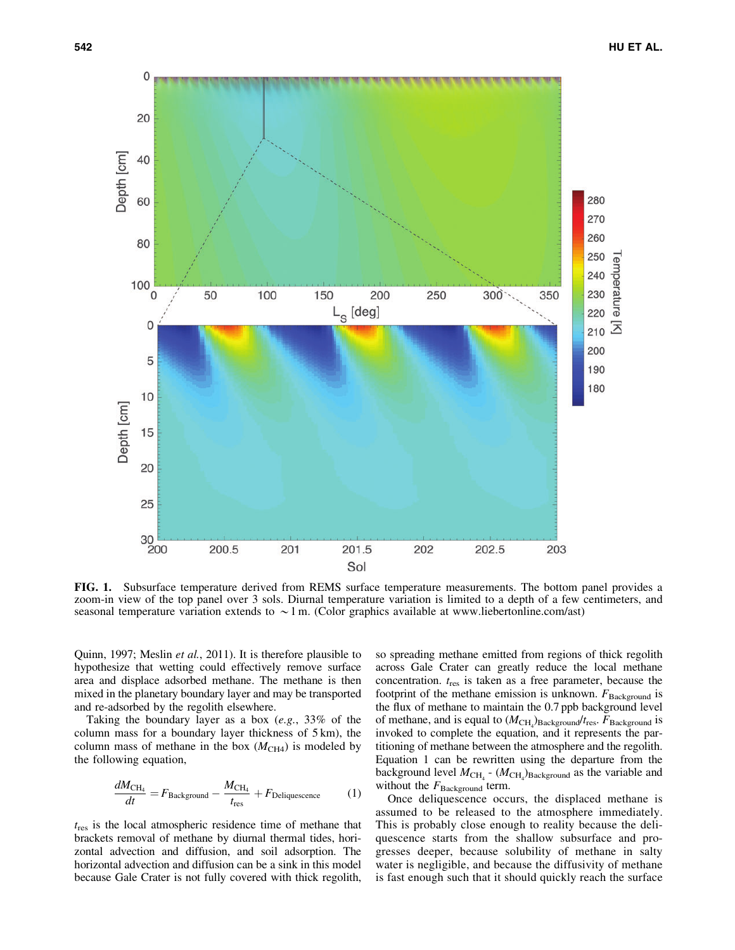

FIG. 1. Subsurface temperature derived from REMS surface temperature measurements. The bottom panel provides a zoom-in view of the top panel over 3 sols. Diurnal temperature variation is limited to a depth of a few centimeters, and seasonal temperature variation extends to  $\sim 1$  m. (Color graphics available at www.liebertonline.com/ast)

Quinn, 1997; Meslin *et al.*, 2011). It is therefore plausible to hypothesize that wetting could effectively remove surface area and displace adsorbed methane. The methane is then mixed in the planetary boundary layer and may be transported and re-adsorbed by the regolith elsewhere.

Taking the boundary layer as a box (*e.g.*, 33% of the column mass for a boundary layer thickness of 5 km), the column mass of methane in the box  $(M<sub>CH4</sub>)$  is modeled by the following equation,

$$
\frac{dM_{\text{CH}_4}}{dt} = F_{\text{Background}} - \frac{M_{\text{CH}_4}}{t_{\text{res}}} + F_{\text{Deliquescence}} \tag{1}
$$

*t*res is the local atmospheric residence time of methane that brackets removal of methane by diurnal thermal tides, horizontal advection and diffusion, and soil adsorption. The horizontal advection and diffusion can be a sink in this model because Gale Crater is not fully covered with thick regolith,

so spreading methane emitted from regions of thick regolith across Gale Crater can greatly reduce the local methane concentration. *t*res is taken as a free parameter, because the footprint of the methane emission is unknown.  $F_{\text{Background}}$  is the flux of methane to maintain the 0.7 ppb background level of methane, and is equal to  $(M<sub>CH<sub>4</sub></sub>)<sub>Background</sub>/t<sub>res</sub>$ .  $F<sub>Background</sub>$  is invoked to complete the equation, and it represents the partitioning of methane between the atmosphere and the regolith. Equation 1 can be rewritten using the departure from the background level  $M_{\text{CH}_4}$  -  $(M_{\text{CH}_4})_{\text{Background}}$  as the variable and without the  $F_{\text{Background}}$  term.

Once deliquescence occurs, the displaced methane is assumed to be released to the atmosphere immediately. This is probably close enough to reality because the deliquescence starts from the shallow subsurface and progresses deeper, because solubility of methane in salty water is negligible, and because the diffusivity of methane is fast enough such that it should quickly reach the surface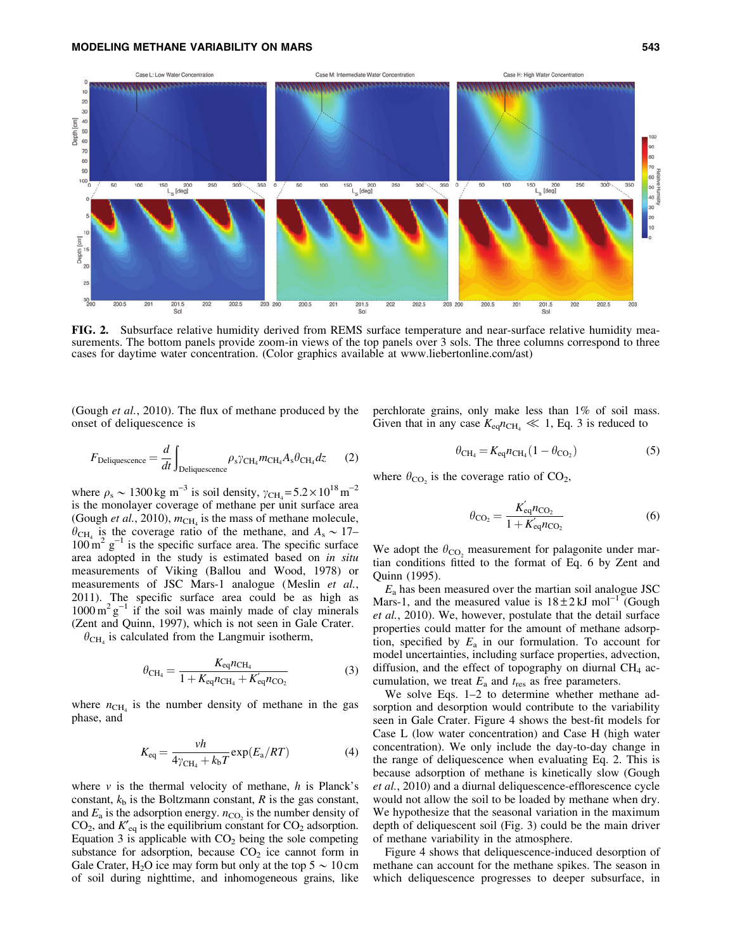

FIG. 2. Subsurface relative humidity derived from REMS surface temperature and near-surface relative humidity measurements. The bottom panels provide zoom-in views of the top panels over 3 sols. The three columns correspond to three cases for daytime water concentration. (Color graphics available at www.liebertonline.com/ast)

(Gough *et al.*, 2010). The flux of methane produced by the onset of deliquescence is

$$
F_{\text{Deliquescence}} = \frac{d}{dt} \int_{\text{Deliquescence}} \rho_{\text{s}} \gamma_{\text{CH}_4} m_{\text{CH}_4} A_{\text{s}} \theta_{\text{CH}_4} dz \qquad (2)
$$

where  $\rho_s \sim 1300 \text{ kg m}^{-3}$  is soil density,  $\gamma_{\text{CH}_4} = 5.2 \times 10^{18} \text{ m}^{-2}$ is the monolayer coverage of methane per unit surface area (Gough *et al.*, 2010),  $m_{\text{CH}_4}$  is the mass of methane molecule,  $\theta_{\text{CH}_4}$  is the coverage ratio of the methane, and  $A_s \sim 17-1$  $100 \text{ m}^2$  g<sup>-1</sup> is the specific surface area. The specific surface area adopted in the study is estimated based on *in situ* measurements of Viking (Ballou and Wood, 1978) or measurements of JSC Mars-1 analogue (Meslin *et al.*, 2011). The specific surface area could be as high as  $1000 \,\mathrm{m}^2 \mathrm{g}^{-1}$  if the soil was mainly made of clay minerals (Zent and Quinn, 1997), which is not seen in Gale Crater.

 $\theta_{\text{CH}_4}$  is calculated from the Langmuir isotherm,

$$
\theta_{\text{CH}_4} = \frac{K_{\text{eq}} n_{\text{CH}_4}}{1 + K_{\text{eq}} n_{\text{CH}_4} + K_{\text{eq}} n_{\text{CO}_2}}\tag{3}
$$

where  $n_{\text{CH}_4}$  is the number density of methane in the gas phase, and

$$
K_{\text{eq}} = \frac{vh}{4\gamma_{\text{CH}_4} + k_{\text{b}}T} \exp(E_{\text{a}}/RT) \tag{4}
$$

where  $\nu$  is the thermal velocity of methane,  $h$  is Planck's constant,  $k<sub>b</sub>$  is the Boltzmann constant,  $R$  is the gas constant, and  $E_a$  is the adsorption energy.  $n_{\text{CO}_2}$  is the number density of  $CO<sub>2</sub>$ , and  $K<sub>eq</sub>'$  is the equilibrium constant for  $CO<sub>2</sub>$  adsorption. Equation 3 is applicable with  $CO<sub>2</sub>$  being the sole competing substance for adsorption, because  $CO<sub>2</sub>$  ice cannot form in Gale Crater, H<sub>2</sub>O ice may form but only at the top  $5 \sim 10 \text{ cm}$ of soil during nighttime, and inhomogeneous grains, like perchlorate grains, only make less than 1% of soil mass. Given that in any case  $K_{eq}n_{\text{CH}_4} \ll 1$ , Eq. 3 is reduced to

$$
\theta_{\text{CH}_4} = K_{\text{eq}} n_{\text{CH}_4} (1 - \theta_{\text{CO}_2}) \tag{5}
$$

where  $\theta_{\text{CO}_2}$  is the coverage ratio of CO<sub>2</sub>,

$$
\theta_{\rm CO_2} = \frac{K'_{\rm eq} n_{\rm CO_2}}{1 + K'_{\rm eq} n_{\rm CO_2}}\tag{6}
$$

We adopt the  $\theta_{\text{CO}_2}$  measurement for palagonite under martian conditions fitted to the format of Eq. 6 by Zent and Quinn (1995).

 $E_a$  has been measured over the martian soil analogue JSC Mars-1, and the measured value is  $18 \pm 2 \text{ kJ}$  mol<sup>-1</sup> (Gough *et al.*, 2010). We, however, postulate that the detail surface properties could matter for the amount of methane adsorption, specified by  $E_a$  in our formulation. To account for model uncertainties, including surface properties, advection, diffusion, and the effect of topography on diurnal  $CH<sub>4</sub>$  accumulation, we treat *E*<sup>a</sup> and *t*res as free parameters.

We solve Eqs. 1–2 to determine whether methane adsorption and desorption would contribute to the variability seen in Gale Crater. Figure 4 shows the best-fit models for Case L (low water concentration) and Case H (high water concentration). We only include the day-to-day change in the range of deliquescence when evaluating Eq. 2. This is because adsorption of methane is kinetically slow (Gough *et al.*, 2010) and a diurnal deliquescence-efflorescence cycle would not allow the soil to be loaded by methane when dry. We hypothesize that the seasonal variation in the maximum depth of deliquescent soil (Fig. 3) could be the main driver of methane variability in the atmosphere.

Figure 4 shows that deliquescence-induced desorption of methane can account for the methane spikes. The season in which deliquescence progresses to deeper subsurface, in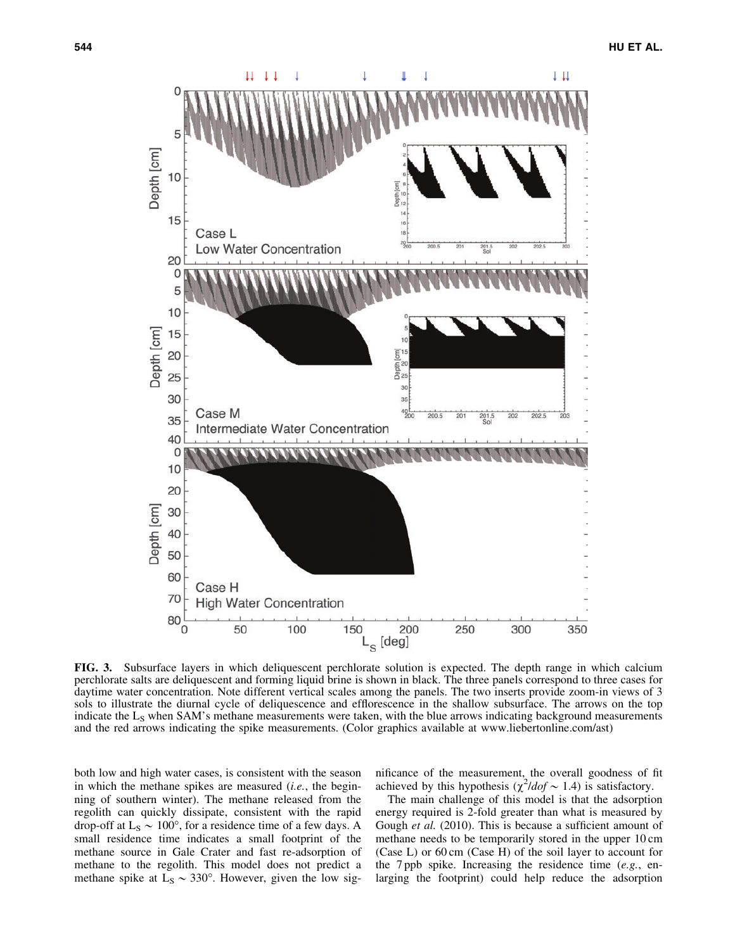

FIG. 3. Subsurface layers in which deliquescent perchlorate solution is expected. The depth range in which calcium perchlorate salts are deliquescent and forming liquid brine is shown in black. The three panels correspond to three cases for daytime water concentration. Note different vertical scales among the panels. The two inserts provide zoom-in views of 3 sols to illustrate the diurnal cycle of deliquescence and efflorescence in the shallow subsurface. The arrows on the top indicate the  $L<sub>S</sub>$  when SAM's methane measurements were taken, with the blue arrows indicating background measurements and the red arrows indicating the spike measurements. (Color graphics available at www.liebertonline.com/ast)

both low and high water cases, is consistent with the season in which the methane spikes are measured (*i.e.*, the beginning of southern winter). The methane released from the regolith can quickly dissipate, consistent with the rapid drop-off at  $L_s \sim 100^\circ$ , for a residence time of a few days. A small residence time indicates a small footprint of the methane source in Gale Crater and fast re-adsorption of methane to the regolith. This model does not predict a methane spike at  $L_s \sim 330^\circ$ . However, given the low significance of the measurement, the overall goodness of fit achieved by this hypothesis  $(\chi^2/dof \sim 1.4)$  is satisfactory.

The main challenge of this model is that the adsorption energy required is 2-fold greater than what is measured by Gough *et al.* (2010). This is because a sufficient amount of methane needs to be temporarily stored in the upper 10 cm (Case L) or 60 cm (Case H) of the soil layer to account for the 7 ppb spike. Increasing the residence time (*e.g.*, enlarging the footprint) could help reduce the adsorption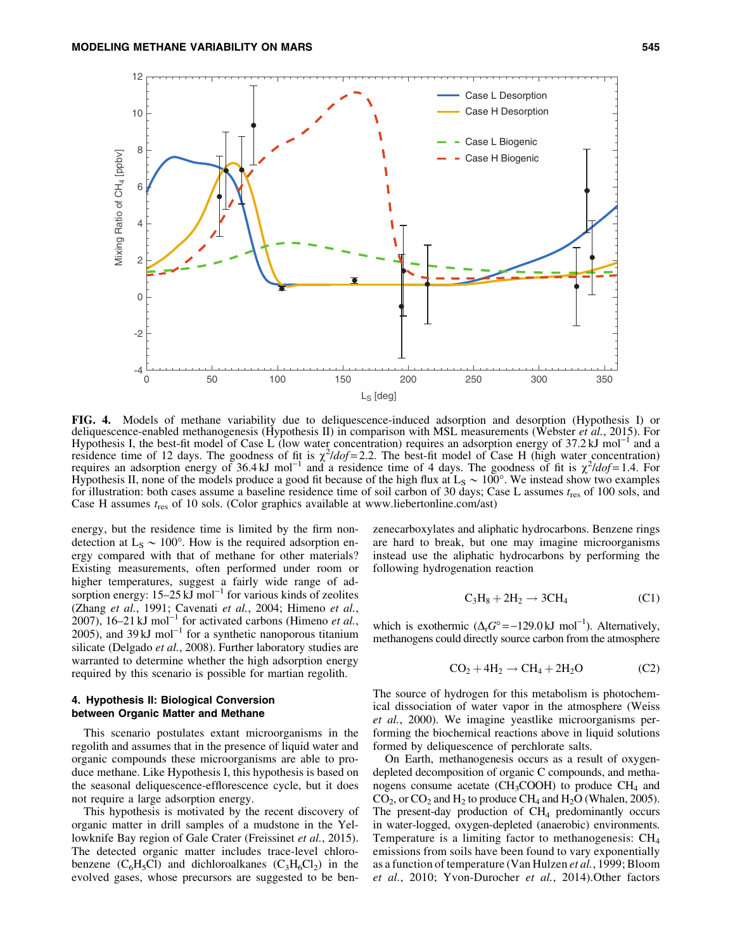

FIG. 4. Models of methane variability due to deliquescence-induced adsorption and desorption (Hypothesis I) or deliquescence-enabled methanogenesis (Hypothesis II) in comparison with MSL measurements (Webster *et al.*, 2015). For Hypothesis I, the best-fit model of Case L (low water concentration) requires an adsorption energy of  $37.2 \text{ kJ mol}^{-1}$  and a residence time of 12 days. The goodness of fit is  $\chi^2/dof = 2.2$ . The best-fit model of Case H (high water concentration) requires an adsorption energy of 36.4 kJ mol<sup>-1</sup> and a residence time of 4 days. The goodness of fit Hypothesis II, none of the models produce a good fit because of the high flux at  $L_s \sim 100^\circ$ . We instead show two examples for illustration: both cases assume a baseline residence time of soil carbon of 30 days; Case L assumes *t*res of 100 sols, and Case H assumes *t*res of 10 sols. (Color graphics available at www.liebertonline.com/ast)

energy, but the residence time is limited by the firm nondetection at  $L_s \sim 100^\circ$ . How is the required adsorption energy compared with that of methane for other materials? Existing measurements, often performed under room or higher temperatures, suggest a fairly wide range of adsorption energy:  $15-25 \text{ kJ} \text{ mol}^{-1}$  for various kinds of zeolites (Zhang *et al.*, 1991; Cavenati *et al.*, 2004; Himeno *et al.*, 2007),  $16-21$  kJ mol<sup>-1</sup> for activated carbons (Himeno *et al.*, 2005), and 39 kJ mol<sup>-1</sup> for a synthetic nanoporous titanium silicate (Delgado *et al.*, 2008). Further laboratory studies are warranted to determine whether the high adsorption energy required by this scenario is possible for martian regolith.

## 4. Hypothesis II: Biological Conversion between Organic Matter and Methane

This scenario postulates extant microorganisms in the regolith and assumes that in the presence of liquid water and organic compounds these microorganisms are able to produce methane. Like Hypothesis I, this hypothesis is based on the seasonal deliquescence-efflorescence cycle, but it does not require a large adsorption energy.

This hypothesis is motivated by the recent discovery of organic matter in drill samples of a mudstone in the Yellowknife Bay region of Gale Crater (Freissinet *et al.*, 2015). The detected organic matter includes trace-level chlorobenzene  $(C_6H_5Cl)$  and dichloroalkanes  $(C_3H_6Cl_2)$  in the evolved gases, whose precursors are suggested to be benzenecarboxylates and aliphatic hydrocarbons. Benzene rings are hard to break, but one may imagine microorganisms instead use the aliphatic hydrocarbons by performing the following hydrogenation reaction

$$
C_3H_8 + 2H_2 \rightarrow 3CH_4 \tag{C1}
$$

which is exothermic  $(\Delta_{\rm r} G^{\circ} = -129.0 \,\mathrm{kJ \text{ mol}^{-1}})$ . Alternatively, methanogens could directly source carbon from the atmosphere

$$
CO2 + 4H2 \rightarrow CH4 + 2H2O
$$
 (C2)

The source of hydrogen for this metabolism is photochemical dissociation of water vapor in the atmosphere (Weiss *et al.*, 2000). We imagine yeastlike microorganisms performing the biochemical reactions above in liquid solutions formed by deliquescence of perchlorate salts.

On Earth, methanogenesis occurs as a result of oxygendepleted decomposition of organic C compounds, and methanogens consume acetate (CH<sub>3</sub>COOH) to produce  $CH<sub>4</sub>$  and  $CO<sub>2</sub>$ , or  $CO<sub>2</sub>$  and  $H<sub>2</sub>$  to produce  $CH<sub>4</sub>$  and  $H<sub>2</sub>O$  (Whalen, 2005). The present-day production of  $CH<sub>4</sub>$  predominantly occurs in water-logged, oxygen-depleted (anaerobic) environments. Temperature is a limiting factor to methanogenesis: CH4 emissions from soils have been found to vary exponentially as a function of temperature (Van Hulzen *et al.*, 1999; Bloom *et al.*, 2010; Yvon-Durocher *et al.*, 2014).Other factors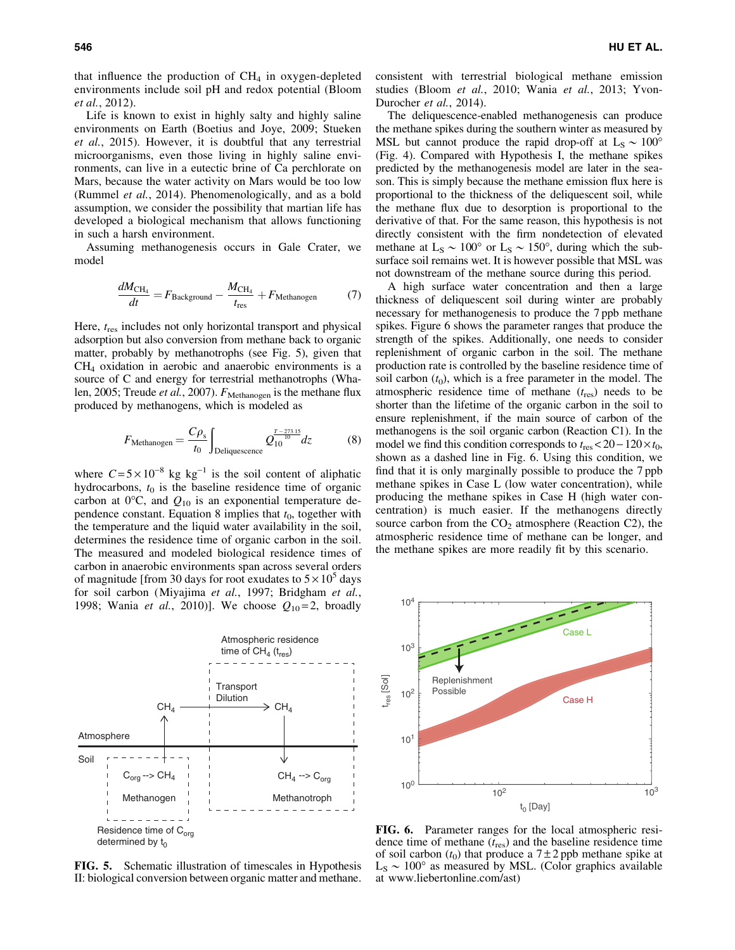that influence the production of  $CH<sub>4</sub>$  in oxygen-depleted environments include soil pH and redox potential (Bloom *et al.*, 2012).

Life is known to exist in highly salty and highly saline environments on Earth (Boetius and Joye, 2009; Stueken *et al.*, 2015). However, it is doubtful that any terrestrial microorganisms, even those living in highly saline environments, can live in a eutectic brine of Ca perchlorate on Mars, because the water activity on Mars would be too low (Rummel *et al.*, 2014). Phenomenologically, and as a bold assumption, we consider the possibility that martian life has developed a biological mechanism that allows functioning in such a harsh environment.

Assuming methanogenesis occurs in Gale Crater, we model

$$
\frac{dM_{\text{CH}_4}}{dt} = F_{\text{Background}} - \frac{M_{\text{CH}_4}}{t_{\text{res}}} + F_{\text{Method}} \tag{7}
$$

Here, *t*res includes not only horizontal transport and physical adsorption but also conversion from methane back to organic matter, probably by methanotrophs (see Fig. 5), given that  $CH<sub>4</sub>$  oxidation in aerobic and anaerobic environments is a source of C and energy for terrestrial methanotrophs (Whalen, 2005; Treude *et al.*, 2007).  $F_{\text{Method}}$  is the methane flux produced by methanogens, which is modeled as

$$
F_{\text{Methodogen}} = \frac{C\rho_s}{t_0} \int_{\text{Deliquescence}} Q_{10}^{\frac{T-273.15}{10}} dz
$$
 (8)

where  $C = 5 \times 10^{-8}$  kg kg<sup>-1</sup> is the soil content of aliphatic hydrocarbons,  $t_0$  is the baseline residence time of organic carbon at  $0^{\circ}$ C, and  $Q_{10}$  is an exponential temperature dependence constant. Equation 8 implies that  $t_0$ , together with the temperature and the liquid water availability in the soil, determines the residence time of organic carbon in the soil. The measured and modeled biological residence times of carbon in anaerobic environments span across several orders of magnitude [from 30 days for root exudates to  $5 \times 10^5$  days for soil carbon (Miyajima *et al.*, 1997; Bridgham *et al.*, 1998; Wania *et al.*, 2010)]. We choose *Q*<sup>10</sup> = 2, broadly

 $C_{org} \rightarrow CH_4$  $CH<sub>4</sub>$  $CH_4 \rightarrow C_{org}$  $CH<sub>4</sub>$ Methanogen | | | Methanotroph **Atmosphere** Soil Atmospheric residence time of  $CH_4$  ( $t_{res}$ ) Transport Dilution Residence time of C<sub>org</sub> determined by  $t_0$ 

FIG. 5. Schematic illustration of timescales in Hypothesis II: biological conversion between organic matter and methane.

consistent with terrestrial biological methane emission studies (Bloom *et al.*, 2010; Wania *et al.*, 2013; Yvon-Durocher *et al.*, 2014).

The deliquescence-enabled methanogenesis can produce the methane spikes during the southern winter as measured by MSL but cannot produce the rapid drop-off at  $L<sub>S</sub> \sim 100^{\circ}$ (Fig. 4). Compared with Hypothesis I, the methane spikes predicted by the methanogenesis model are later in the season. This is simply because the methane emission flux here is proportional to the thickness of the deliquescent soil, while the methane flux due to desorption is proportional to the derivative of that. For the same reason, this hypothesis is not directly consistent with the firm nondetection of elevated methane at  $L_s \sim 100^\circ$  or  $L_s \sim 150^\circ$ , during which the subsurface soil remains wet. It is however possible that MSL was not downstream of the methane source during this period.

A high surface water concentration and then a large thickness of deliquescent soil during winter are probably necessary for methanogenesis to produce the 7 ppb methane spikes. Figure 6 shows the parameter ranges that produce the strength of the spikes. Additionally, one needs to consider replenishment of organic carbon in the soil. The methane production rate is controlled by the baseline residence time of soil carbon  $(t_0)$ , which is a free parameter in the model. The atmospheric residence time of methane (*t*res) needs to be shorter than the lifetime of the organic carbon in the soil to ensure replenishment, if the main source of carbon of the methanogens is the soil organic carbon (Reaction C1). In the model we find this condition corresponds to  $t_{res} < 20 - 120 \times t_0$ , shown as a dashed line in Fig. 6. Using this condition, we find that it is only marginally possible to produce the 7 ppb methane spikes in Case L (low water concentration), while producing the methane spikes in Case H (high water concentration) is much easier. If the methanogens directly source carbon from the  $CO<sub>2</sub>$  atmosphere (Reaction C2), the atmospheric residence time of methane can be longer, and the methane spikes are more readily fit by this scenario.



FIG. 6. Parameter ranges for the local atmospheric residence time of methane (*t*res) and the baseline residence time of soil carbon  $(t_0)$  that produce a  $7 \pm 2$  ppb methane spike at  $L<sub>s</sub> \sim 100<sup>o</sup>$  as measured by MSL. (Color graphics available at www.liebertonline.com/ast)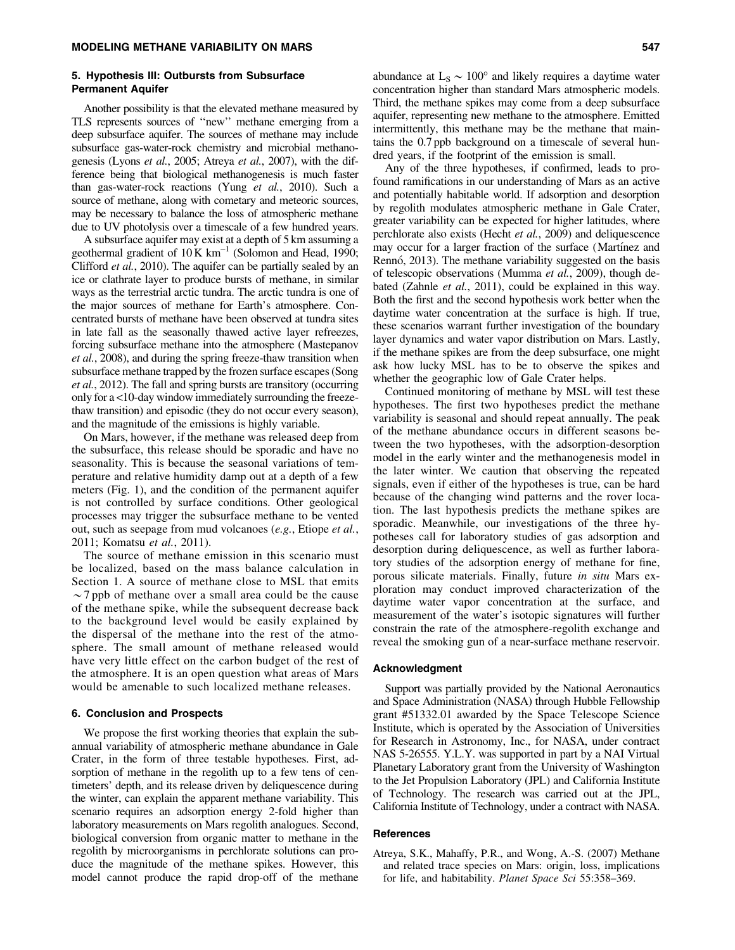## 5. Hypothesis III: Outbursts from Subsurface Permanent Aquifer

Another possibility is that the elevated methane measured by TLS represents sources of ''new'' methane emerging from a deep subsurface aquifer. The sources of methane may include subsurface gas-water-rock chemistry and microbial methanogenesis (Lyons *et al.*, 2005; Atreya *et al.*, 2007), with the difference being that biological methanogenesis is much faster than gas-water-rock reactions (Yung *et al.*, 2010). Such a source of methane, along with cometary and meteoric sources, may be necessary to balance the loss of atmospheric methane due to UV photolysis over a timescale of a few hundred years.

A subsurface aquifer may exist at a depth of 5 km assuming a geothermal gradient of  $10 \text{ K km}^{-1}$  (Solomon and Head, 1990; Clifford *et al.*, 2010). The aquifer can be partially sealed by an ice or clathrate layer to produce bursts of methane, in similar ways as the terrestrial arctic tundra. The arctic tundra is one of the major sources of methane for Earth's atmosphere. Concentrated bursts of methane have been observed at tundra sites in late fall as the seasonally thawed active layer refreezes, forcing subsurface methane into the atmosphere (Mastepanov *et al.*, 2008), and during the spring freeze-thaw transition when subsurface methane trapped by the frozen surface escapes (Song *et al.*, 2012). The fall and spring bursts are transitory (occurring only for a <10-day window immediately surrounding the freezethaw transition) and episodic (they do not occur every season), and the magnitude of the emissions is highly variable.

On Mars, however, if the methane was released deep from the subsurface, this release should be sporadic and have no seasonality. This is because the seasonal variations of temperature and relative humidity damp out at a depth of a few meters (Fig. 1), and the condition of the permanent aquifer is not controlled by surface conditions. Other geological processes may trigger the subsurface methane to be vented out, such as seepage from mud volcanoes (*e.g.*, Etiope *et al.*, 2011; Komatsu *et al.*, 2011).

The source of methane emission in this scenario must be localized, based on the mass balance calculation in Section 1. A source of methane close to MSL that emits  $\sim$ 7 ppb of methane over a small area could be the cause of the methane spike, while the subsequent decrease back to the background level would be easily explained by the dispersal of the methane into the rest of the atmosphere. The small amount of methane released would have very little effect on the carbon budget of the rest of the atmosphere. It is an open question what areas of Mars would be amenable to such localized methane releases.

#### 6. Conclusion and Prospects

We propose the first working theories that explain the subannual variability of atmospheric methane abundance in Gale Crater, in the form of three testable hypotheses. First, adsorption of methane in the regolith up to a few tens of centimeters' depth, and its release driven by deliquescence during the winter, can explain the apparent methane variability. This scenario requires an adsorption energy 2-fold higher than laboratory measurements on Mars regolith analogues. Second, biological conversion from organic matter to methane in the regolith by microorganisms in perchlorate solutions can produce the magnitude of the methane spikes. However, this model cannot produce the rapid drop-off of the methane

abundance at  $L_s \sim 100^\circ$  and likely requires a daytime water concentration higher than standard Mars atmospheric models. Third, the methane spikes may come from a deep subsurface aquifer, representing new methane to the atmosphere. Emitted intermittently, this methane may be the methane that maintains the 0.7 ppb background on a timescale of several hundred years, if the footprint of the emission is small.

Any of the three hypotheses, if confirmed, leads to profound ramifications in our understanding of Mars as an active and potentially habitable world. If adsorption and desorption by regolith modulates atmospheric methane in Gale Crater, greater variability can be expected for higher latitudes, where perchlorate also exists (Hecht *et al.*, 2009) and deliquescence may occur for a larger fraction of the surface (Martinez and Rennó, 2013). The methane variability suggested on the basis of telescopic observations (Mumma *et al.*, 2009), though debated (Zahnle *et al.*, 2011), could be explained in this way. Both the first and the second hypothesis work better when the daytime water concentration at the surface is high. If true, these scenarios warrant further investigation of the boundary layer dynamics and water vapor distribution on Mars. Lastly, if the methane spikes are from the deep subsurface, one might ask how lucky MSL has to be to observe the spikes and whether the geographic low of Gale Crater helps.

Continued monitoring of methane by MSL will test these hypotheses. The first two hypotheses predict the methane variability is seasonal and should repeat annually. The peak of the methane abundance occurs in different seasons between the two hypotheses, with the adsorption-desorption model in the early winter and the methanogenesis model in the later winter. We caution that observing the repeated signals, even if either of the hypotheses is true, can be hard because of the changing wind patterns and the rover location. The last hypothesis predicts the methane spikes are sporadic. Meanwhile, our investigations of the three hypotheses call for laboratory studies of gas adsorption and desorption during deliquescence, as well as further laboratory studies of the adsorption energy of methane for fine, porous silicate materials. Finally, future *in situ* Mars exploration may conduct improved characterization of the daytime water vapor concentration at the surface, and measurement of the water's isotopic signatures will further constrain the rate of the atmosphere-regolith exchange and reveal the smoking gun of a near-surface methane reservoir.

#### Acknowledgment

Support was partially provided by the National Aeronautics and Space Administration (NASA) through Hubble Fellowship grant #51332.01 awarded by the Space Telescope Science Institute, which is operated by the Association of Universities for Research in Astronomy, Inc., for NASA, under contract NAS 5-26555. Y.L.Y. was supported in part by a NAI Virtual Planetary Laboratory grant from the University of Washington to the Jet Propulsion Laboratory (JPL) and California Institute of Technology. The research was carried out at the JPL, California Institute of Technology, under a contract with NASA.

#### References

Atreya, S.K., Mahaffy, P.R., and Wong, A.-S. (2007) Methane and related trace species on Mars: origin, loss, implications for life, and habitability. *Planet Space Sci* 55:358–369.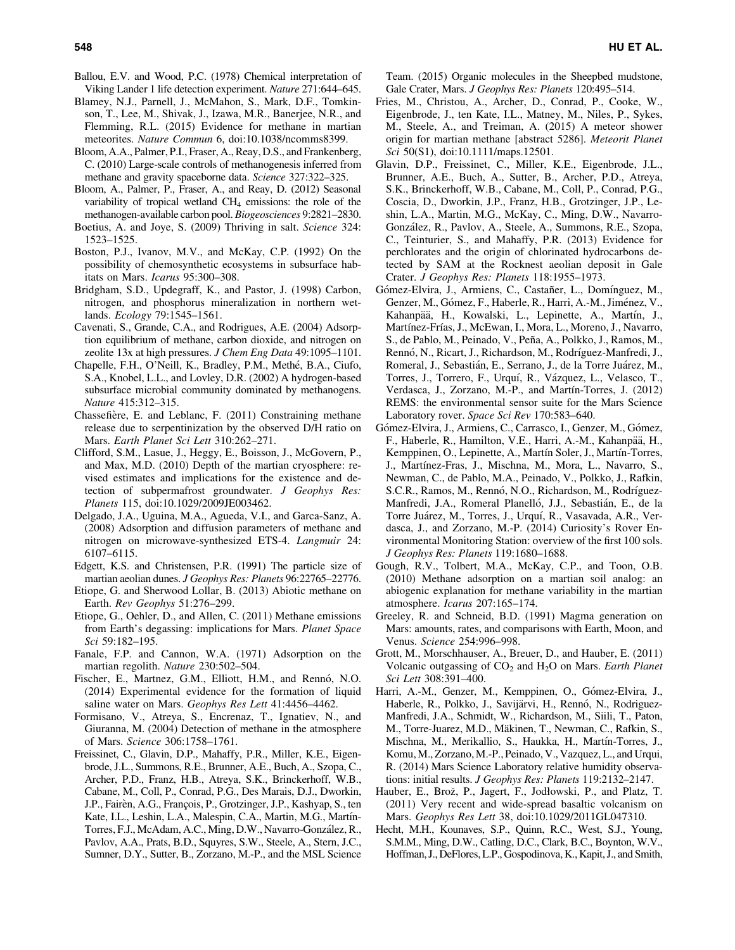- Ballou, E.V. and Wood, P.C. (1978) Chemical interpretation of Viking Lander 1 life detection experiment. *Nature* 271:644–645.
- Blamey, N.J., Parnell, J., McMahon, S., Mark, D.F., Tomkinson, T., Lee, M., Shivak, J., Izawa, M.R., Banerjee, N.R., and Flemming, R.L. (2015) Evidence for methane in martian meteorites. *Nature Commun* 6, doi:10.1038/ncomms8399.
- Bloom, A.A., Palmer, P.I., Fraser, A., Reay, D.S., and Frankenberg, C. (2010) Large-scale controls of methanogenesis inferred from methane and gravity spaceborne data. *Science* 327:322–325.
- Bloom, A., Palmer, P., Fraser, A., and Reay, D. (2012) Seasonal variability of tropical wetland  $CH<sub>4</sub>$  emissions: the role of the methanogen-available carbon pool. *Biogeosciences* 9:2821–2830.
- Boetius, A. and Joye, S. (2009) Thriving in salt. *Science* 324: 1523–1525.
- Boston, P.J., Ivanov, M.V., and McKay, C.P. (1992) On the possibility of chemosynthetic ecosystems in subsurface habitats on Mars. *Icarus* 95:300–308.
- Bridgham, S.D., Updegraff, K., and Pastor, J. (1998) Carbon, nitrogen, and phosphorus mineralization in northern wetlands. *Ecology* 79:1545–1561.
- Cavenati, S., Grande, C.A., and Rodrigues, A.E. (2004) Adsorption equilibrium of methane, carbon dioxide, and nitrogen on zeolite 13x at high pressures. *J Chem Eng Data* 49:1095–1101.
- Chapelle, F.H., O'Neill, K., Bradley, P.M., Methé, B.A., Ciufo, S.A., Knobel, L.L., and Lovley, D.R. (2002) A hydrogen-based subsurface microbial community dominated by methanogens. *Nature* 415:312–315.
- Chassefière, E. and Leblanc, F. (2011) Constraining methane release due to serpentinization by the observed D/H ratio on Mars. *Earth Planet Sci Lett* 310:262–271.
- Clifford, S.M., Lasue, J., Heggy, E., Boisson, J., McGovern, P., and Max, M.D. (2010) Depth of the martian cryosphere: revised estimates and implications for the existence and detection of subpermafrost groundwater. *J Geophys Res: Planets* 115, doi:10.1029/2009JE003462.
- Delgado, J.A., Uguina, M.A., Agueda, V.I., and Garca-Sanz, A. (2008) Adsorption and diffusion parameters of methane and nitrogen on microwave-synthesized ETS-4. *Langmuir* 24: 6107–6115.
- Edgett, K.S. and Christensen, P.R. (1991) The particle size of martian aeolian dunes. *J Geophys Res: Planets* 96:22765–22776.
- Etiope, G. and Sherwood Lollar, B. (2013) Abiotic methane on Earth. *Rev Geophys* 51:276–299.
- Etiope, G., Oehler, D., and Allen, C. (2011) Methane emissions from Earth's degassing: implications for Mars. *Planet Space Sci* 59:182–195.
- Fanale, F.P. and Cannon, W.A. (1971) Adsorption on the martian regolith. *Nature* 230:502–504.
- Fischer, E., Martnez, G.M., Elliott, H.M., and Rennó, N.O. (2014) Experimental evidence for the formation of liquid saline water on Mars. *Geophys Res Lett* 41:4456–4462.
- Formisano, V., Atreya, S., Encrenaz, T., Ignatiev, N., and Giuranna, M. (2004) Detection of methane in the atmosphere of Mars. *Science* 306:1758–1761.
- Freissinet, C., Glavin, D.P., Mahaffy, P.R., Miller, K.E., Eigenbrode, J.L., Summons, R.E., Brunner, A.E., Buch, A., Szopa, C., Archer, P.D., Franz, H.B., Atreya, S.K., Brinckerhoff, W.B., Cabane, M., Coll, P., Conrad, P.G., Des Marais, D.J., Dworkin, J.P., Fairèn, A.G., François, P., Grotzinger, J.P., Kashyap, S., ten Kate, I.L., Leshin, L.A., Malespin, C.A., Martin, M.G., Martín-Torres, F.J., McAdam, A.C., Ming, D.W., Navarro-González, R., Pavlov, A.A., Prats, B.D., Squyres, S.W., Steele, A., Stern, J.C., Sumner, D.Y., Sutter, B., Zorzano, M.-P., and the MSL Science

Team. (2015) Organic molecules in the Sheepbed mudstone, Gale Crater, Mars. *J Geophys Res: Planets* 120:495–514.

- Fries, M., Christou, A., Archer, D., Conrad, P., Cooke, W., Eigenbrode, J., ten Kate, I.L., Matney, M., Niles, P., Sykes, M., Steele, A., and Treiman, A. (2015) A meteor shower origin for martian methane [abstract 5286]. *Meteorit Planet Sci* 50(S1), doi:10.1111/maps.12501.
- Glavin, D.P., Freissinet, C., Miller, K.E., Eigenbrode, J.L., Brunner, A.E., Buch, A., Sutter, B., Archer, P.D., Atreya, S.K., Brinckerhoff, W.B., Cabane, M., Coll, P., Conrad, P.G., Coscia, D., Dworkin, J.P., Franz, H.B., Grotzinger, J.P., Leshin, L.A., Martin, M.G., McKay, C., Ming, D.W., Navarro-Gonza´lez, R., Pavlov, A., Steele, A., Summons, R.E., Szopa, C., Teinturier, S., and Mahaffy, P.R. (2013) Evidence for perchlorates and the origin of chlorinated hydrocarbons detected by SAM at the Rocknest aeolian deposit in Gale Crater. *J Geophys Res: Planets* 118:1955–1973.
- Gómez-Elvira, J., Armiens, C., Castañer, L., Domínguez, M., Genzer, M., Gómez, F., Haberle, R., Harri, A.-M., Jiménez, V., Kahanpää, H., Kowalski, L., Lepinette, A., Martín, J., Martínez-Frías, J., McEwan, I., Mora, L., Moreno, J., Navarro, S., de Pablo, M., Peinado, V., Peña, A., Polkko, J., Ramos, M., Rennó, N., Ricart, J., Richardson, M., Rodríguez-Manfredi, J., Romeral, J., Sebastián, E., Serrano, J., de la Torre Juárez, M., Torres, J., Torrero, F., Urquí, R., Vázquez, L., Velasco, T., Verdasca, J., Zorzano, M.-P., and Martín-Torres, J. (2012) REMS: the environmental sensor suite for the Mars Science Laboratory rover. *Space Sci Rev* 170:583–640.
- Gómez-Elvira, J., Armiens, C., Carrasco, I., Genzer, M., Gómez, F., Haberle, R., Hamilton, V.E., Harri, A.-M., Kahanpää, H., Kemppinen, O., Lepinette, A., Martín Soler, J., Martín-Torres, J., Martínez-Fras, J., Mischna, M., Mora, L., Navarro, S., Newman, C., de Pablo, M.A., Peinado, V., Polkko, J., Rafkin, S.C.R., Ramos, M., Rennó, N.O., Richardson, M., Rodríguez-Manfredi, J.A., Romeral Planelló, J.J., Sebastián, E., de la Torre Juárez, M., Torres, J., Urquí, R., Vasavada, A.R., Verdasca, J., and Zorzano, M.-P. (2014) Curiosity's Rover Environmental Monitoring Station: overview of the first 100 sols. *J Geophys Res: Planets* 119:1680–1688.
- Gough, R.V., Tolbert, M.A., McKay, C.P., and Toon, O.B. (2010) Methane adsorption on a martian soil analog: an abiogenic explanation for methane variability in the martian atmosphere. *Icarus* 207:165–174.
- Greeley, R. and Schneid, B.D. (1991) Magma generation on Mars: amounts, rates, and comparisons with Earth, Moon, and Venus. *Science* 254:996–998.
- Grott, M., Morschhauser, A., Breuer, D., and Hauber, E. (2011) Volcanic outgassing of CO2 and H2O on Mars. *Earth Planet Sci Lett* 308:391–400.
- Harri, A.-M., Genzer, M., Kemppinen, O., Gómez-Elvira, J., Haberle, R., Polkko, J., Savijärvi, H., Rennó, N., Rodriguez-Manfredi, J.A., Schmidt, W., Richardson, M., Siili, T., Paton, M., Torre-Juarez, M.D., Mäkinen, T., Newman, C., Rafkin, S., Mischna, M., Merikallio, S., Haukka, H., Martín-Torres, J., Komu,M., Zorzano,M.-P., Peinado, V., Vazquez, L., and Urqui, R. (2014) Mars Science Laboratory relative humidity observations: initial results. *J Geophys Res: Planets* 119:2132–2147.
- Hauber, E., Brož, P., Jagert, F., Jodłowski, P., and Platz, T. (2011) Very recent and wide-spread basaltic volcanism on Mars. *Geophys Res Lett* 38, doi:10.1029/2011GL047310.
- Hecht, M.H., Kounaves, S.P., Quinn, R.C., West, S.J., Young, S.M.M., Ming, D.W., Catling, D.C., Clark, B.C., Boynton, W.V., Hoffman, J., DeFlores, L.P., Gospodinova, K., Kapit, J., and Smith,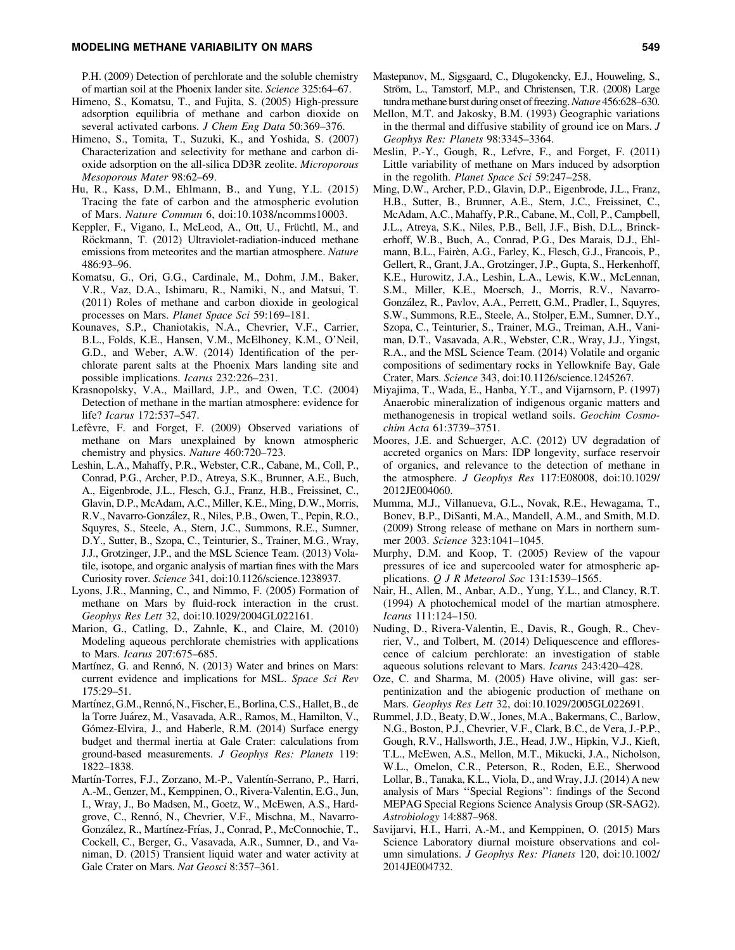#### MODELING METHANE VARIABILITY ON MARS NATURAL SERVICE SERVICE SERVICE SERVICE SERVICE SERVICE SERVICE SERVICE S

P.H. (2009) Detection of perchlorate and the soluble chemistry of martian soil at the Phoenix lander site. *Science* 325:64–67.

- Himeno, S., Komatsu, T., and Fujita, S. (2005) High-pressure adsorption equilibria of methane and carbon dioxide on several activated carbons. *J Chem Eng Data* 50:369–376.
- Himeno, S., Tomita, T., Suzuki, K., and Yoshida, S. (2007) Characterization and selectivity for methane and carbon dioxide adsorption on the all-silica DD3R zeolite. *Microporous Mesoporous Mater* 98:62–69.
- Hu, R., Kass, D.M., Ehlmann, B., and Yung, Y.L. (2015) Tracing the fate of carbon and the atmospheric evolution of Mars. *Nature Commun* 6, doi:10.1038/ncomms10003.
- Keppler, F., Vigano, I., McLeod, A., Ott, U., Früchtl, M., and Röckmann, T. (2012) Ultraviolet-radiation-induced methane emissions from meteorites and the martian atmosphere. *Nature* 486:93–96.
- Komatsu, G., Ori, G.G., Cardinale, M., Dohm, J.M., Baker, V.R., Vaz, D.A., Ishimaru, R., Namiki, N., and Matsui, T. (2011) Roles of methane and carbon dioxide in geological processes on Mars. *Planet Space Sci* 59:169–181.
- Kounaves, S.P., Chaniotakis, N.A., Chevrier, V.F., Carrier, B.L., Folds, K.E., Hansen, V.M., McElhoney, K.M., O'Neil, G.D., and Weber, A.W. (2014) Identification of the perchlorate parent salts at the Phoenix Mars landing site and possible implications. *Icarus* 232:226–231.
- Krasnopolsky, V.A., Maillard, J.P., and Owen, T.C. (2004) Detection of methane in the martian atmosphere: evidence for life? *Icarus* 172:537–547.
- Lefèvre, F. and Forget, F. (2009) Observed variations of methane on Mars unexplained by known atmospheric chemistry and physics. *Nature* 460:720–723.
- Leshin, L.A., Mahaffy, P.R., Webster, C.R., Cabane, M., Coll, P., Conrad, P.G., Archer, P.D., Atreya, S.K., Brunner, A.E., Buch, A., Eigenbrode, J.L., Flesch, G.J., Franz, H.B., Freissinet, C., Glavin, D.P., McAdam, A.C., Miller, K.E., Ming, D.W., Morris, R.V., Navarro-Gonza´lez, R., Niles, P.B., Owen, T., Pepin, R.O., Squyres, S., Steele, A., Stern, J.C., Summons, R.E., Sumner, D.Y., Sutter, B., Szopa, C., Teinturier, S., Trainer, M.G., Wray, J.J., Grotzinger, J.P., and the MSL Science Team. (2013) Volatile, isotope, and organic analysis of martian fines with the Mars Curiosity rover. *Science* 341, doi:10.1126/science.1238937.
- Lyons, J.R., Manning, C., and Nimmo, F. (2005) Formation of methane on Mars by fluid-rock interaction in the crust. *Geophys Res Lett* 32, doi:10.1029/2004GL022161.
- Marion, G., Catling, D., Zahnle, K., and Claire, M. (2010) Modeling aqueous perchlorate chemistries with applications to Mars. *Icarus* 207:675–685.
- Martínez, G. and Rennó, N. (2013) Water and brines on Mars: current evidence and implications for MSL. *Space Sci Rev* 175:29–51.
- Martínez, G.M., Rennó, N., Fischer, E., Borlina, C.S., Hallet, B., de la Torre Juárez, M., Vasavada, A.R., Ramos, M., Hamilton, V., Gómez-Elvira, J., and Haberle, R.M. (2014) Surface energy budget and thermal inertia at Gale Crater: calculations from ground-based measurements. *J Geophys Res: Planets* 119: 1822–1838.
- Martín-Torres, F.J., Zorzano, M.-P., Valentín-Serrano, P., Harri, A.-M., Genzer, M., Kemppinen, O., Rivera-Valentin, E.G., Jun, I., Wray, J., Bo Madsen, M., Goetz, W., McEwen, A.S., Hardgrove, C., Rennó, N., Chevrier, V.F., Mischna, M., Navarro-González, R., Martínez-Frías, J., Conrad, P., McConnochie, T., Cockell, C., Berger, G., Vasavada, A.R., Sumner, D., and Vaniman, D. (2015) Transient liquid water and water activity at Gale Crater on Mars. *Nat Geosci* 8:357–361.
- Mastepanov, M., Sigsgaard, C., Dlugokencky, E.J., Houweling, S., Ström, L., Tamstorf, M.P., and Christensen, T.R. (2008) Large tundramethane burst during onset of freezing.*Nature*456:628–630.
- Mellon, M.T. and Jakosky, B.M. (1993) Geographic variations in the thermal and diffusive stability of ground ice on Mars. *J Geophys Res: Planets* 98:3345–3364.
- Meslin, P.-Y., Gough, R., Lefvre, F., and Forget, F. (2011) Little variability of methane on Mars induced by adsorption in the regolith. *Planet Space Sci* 59:247–258.
- Ming, D.W., Archer, P.D., Glavin, D.P., Eigenbrode, J.L., Franz, H.B., Sutter, B., Brunner, A.E., Stern, J.C., Freissinet, C., McAdam, A.C., Mahaffy, P.R., Cabane, M., Coll, P., Campbell, J.L., Atreya, S.K., Niles, P.B., Bell, J.F., Bish, D.L., Brinckerhoff, W.B., Buch, A., Conrad, P.G., Des Marais, D.J., Ehlmann, B.L., Fairèn, A.G., Farley, K., Flesch, G.J., Francois, P., Gellert, R., Grant, J.A., Grotzinger, J.P., Gupta, S., Herkenhoff, K.E., Hurowitz, J.A., Leshin, L.A., Lewis, K.W., McLennan, S.M., Miller, K.E., Moersch, J., Morris, R.V., Navarro-González, R., Pavlov, A.A., Perrett, G.M., Pradler, I., Squyres, S.W., Summons, R.E., Steele, A., Stolper, E.M., Sumner, D.Y., Szopa, C., Teinturier, S., Trainer, M.G., Treiman, A.H., Vaniman, D.T., Vasavada, A.R., Webster, C.R., Wray, J.J., Yingst, R.A., and the MSL Science Team. (2014) Volatile and organic compositions of sedimentary rocks in Yellowknife Bay, Gale Crater, Mars. *Science* 343, doi:10.1126/science.1245267.
- Miyajima, T., Wada, E., Hanba, Y.T., and Vijarnsorn, P. (1997) Anaerobic mineralization of indigenous organic matters and methanogenesis in tropical wetland soils. *Geochim Cosmochim Acta* 61:3739–3751.
- Moores, J.E. and Schuerger, A.C. (2012) UV degradation of accreted organics on Mars: IDP longevity, surface reservoir of organics, and relevance to the detection of methane in the atmosphere. *J Geophys Res* 117:E08008, doi:10.1029/ 2012JE004060.
- Mumma, M.J., Villanueva, G.L., Novak, R.E., Hewagama, T., Bonev, B.P., DiSanti, M.A., Mandell, A.M., and Smith, M.D. (2009) Strong release of methane on Mars in northern summer 2003. *Science* 323:1041–1045.
- Murphy, D.M. and Koop, T. (2005) Review of the vapour pressures of ice and supercooled water for atmospheric applications. *Q J R Meteorol Soc* 131:1539–1565.
- Nair, H., Allen, M., Anbar, A.D., Yung, Y.L., and Clancy, R.T. (1994) A photochemical model of the martian atmosphere. *Icarus* 111:124–150.
- Nuding, D., Rivera-Valentin, E., Davis, R., Gough, R., Chevrier, V., and Tolbert, M. (2014) Deliquescence and efflorescence of calcium perchlorate: an investigation of stable aqueous solutions relevant to Mars. *Icarus* 243:420–428.
- Oze, C. and Sharma, M. (2005) Have olivine, will gas: serpentinization and the abiogenic production of methane on Mars. *Geophys Res Lett* 32, doi:10.1029/2005GL022691.
- Rummel, J.D., Beaty, D.W., Jones, M.A., Bakermans, C., Barlow, N.G., Boston, P.J., Chevrier, V.F., Clark, B.C., de Vera, J.-P.P., Gough, R.V., Hallsworth, J.E., Head, J.W., Hipkin, V.J., Kieft, T.L., McEwen, A.S., Mellon, M.T., Mikucki, J.A., Nicholson, W.L., Omelon, C.R., Peterson, R., Roden, E.E., Sherwood Lollar, B., Tanaka, K.L., Viola, D., and Wray, J.J. (2014) A new analysis of Mars ''Special Regions'': findings of the Second MEPAG Special Regions Science Analysis Group (SR-SAG2). *Astrobiology* 14:887–968.
- Savijarvi, H.I., Harri, A.-M., and Kemppinen, O. (2015) Mars Science Laboratory diurnal moisture observations and column simulations. *J Geophys Res: Planets* 120, doi:10.1002/ 2014JE004732.